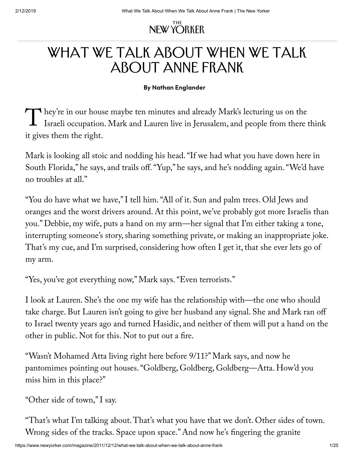

# WHAT WE TALK ABOUT WHEN WE TALK About Anne Frank

### By Nathan [Englander](https://www.newyorker.com/contributors/nathan-englander)

They're in our house maybe ten minutes and already Mark's lecturing us on the Israeli occupation. Mark and Lauren live in Jerusalem, and people from there Israeli occupation. Mark and Lauren live in Jerusalem, and people from there think it gives them the right.

Mark is looking all stoic and nodding his head."If we had what you have down here in South Florida," he says, and trails off."Yup," he says, and he's nodding again."We'd have no troubles at all."

"You do have what we have,"I tell him."All of it. Sun and palm trees. Old Jews and oranges and the worst drivers around. At this point, we've probably got more Israelis than you." Debbie, my wife, puts a hand on my arm—her signal that I'm either taking a tone, interrupting someone's story, sharing something private, or making an inappropriate joke. That's my cue, and I'm surprised, considering how often I get it, that she ever lets go of my arm.

"Yes, you've got everything now,"Mark says."Even terrorists."

I look at Lauren. She's the one my wife has the relationship with—the one who should take charge. But Lauren isn't going to give her husband any signal. She and Mark ran off to Israel twenty years ago and turned Hasidic, and neither of them will put a hand on the other in public. Not for this. Not to put out a fire.

"Wasn't Mohamed Atta living right here before 9/11?"Mark says, and now he pantomimes pointing out houses."Goldberg, Goldberg, Goldberg—Atta. How'd you miss him in this place?"

"Other side of town,"I say.

"That's what I'm talking about.That's what you have that we don't. Other sides of town. Wrong sides of the tracks. Space upon space." And now he's fingering the granite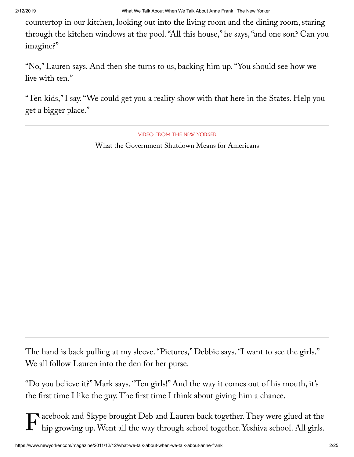countertop in our kitchen, looking out into the living room and the dining room, staring through the kitchen windows at the pool."All this house," he says,"and one son? Can you imagine?"

"No,"Lauren says. And then she turns to us, backing him up."You should see how we live with ten."

"Ten kids,"I say."We could get you a reality show with that here in the States. Help you get a bigger place."

VIDEO FROM THE NEW YORKER

What the [Government](http://video.newyorker.com/watch/what-the-government-shutdown-means-for-americans) Shutdown Means for Americans

The hand is back pulling at my sleeve."Pictures," Debbie says."I want to see the girls." We all follow Lauren into the den for her purse.

"Do you believe it?"Mark says."Ten girls!" And the way it comes out of his mouth, it's the first time I like the guy. The first time I think about giving him a chance.

Tacebook and Skype brought Deb and Lauren back together. They were glued at the hip growing up. Went all the way through school together. Yeshiva school. All girls. hip growing up.Went all the way through school together. Yeshiva school. All girls.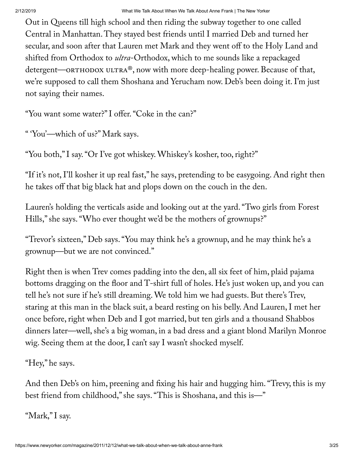Out in Queens till high school and then riding the subway together to one called Central in Manhattan.They stayed best friends until I married Deb and turned her secular, and soon after that Lauren met Mark and they went off to the Holy Land and shifted from Orthodox to ultra-Orthodox, which to me sounds like a repackaged detergent— $\alpha$ RTHODOX ULTRA®, now with more deep-healing power. Because of that, we're supposed to call them Shoshana and Yerucham now. Deb's been doing it.I'm just not saying their names.

"You want some water?"I offer."Coke in the can?"

" 'You'—which of us?"Mark says.

"You both,"I say."Or I've got whiskey.Whiskey's kosher, too, right?"

"If it's not,I'll kosher it up real fast," he says, pretending to be easygoing. And right then he takes off that big black hat and plops down on the couch in the den.

Lauren's holding the verticals aside and looking out at the yard."Two girls from Forest Hills,"she says."Who ever thought we'd be the mothers of grownups?"

"Trevor's sixteen," Deb says."You may think he's a grownup, and he may think he's a grownup—but we are not convinced."

Right then is when Trev comes padding into the den, all six feet of him, plaid pajama bottoms dragging on the floor and T-shirt full of holes. He's just woken up, and you can tell he's not sure if he's still dreaming.We told him we had guests. But there's Trev, staring at this man in the black suit, a beard resting on his belly. And Lauren,I met her once before, right when Deb and I got married, but ten girls and a thousand Shabbos dinners later—well, she's a big woman, in a bad dress and a giant blond Marilyn Monroe wig. Seeing them at the door,I can't say I wasn't shocked myself.

"Hey," he says.

And then Deb's on him, preening and fixing his hair and hugging him. "Trevy, this is my best friend from childhood,"she says."This is Shoshana, and this is—"

"Mark,"I say.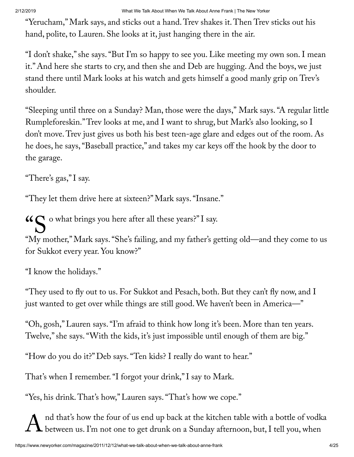#### 2/12/2019 What We Talk About When We Talk About Anne Frank | The New Yorker

"Yerucham,"Mark says, and sticks out a hand.Trev shakes it.Then Trev sticks out his hand, polite, to Lauren. She looks at it, just hanging there in the air.

"I don't shake,"she says."But I'm so happy to see you. Like meeting my own son.I mean it." And here she starts to cry, and then she and Deb are hugging. And the boys, we just stand there until Mark looks at his watch and gets himself a good manly grip on Trev's shoulder.

"Sleeping until three on a Sunday? Man, those were the days," Mark says."A regular little Rumpleforeskin."Trev looks at me, and I want to shrug, but Mark's also looking, so I don't move.Trev just gives us both his best teen-age glare and edges out of the room. As he does, he says,"Baseball practice," and takes my car keys off the hook by the door to the garage.

"There's gas,"I say.

"They let them drive here at sixteen?"Mark says."Insane."

 $\mathcal{L}(\mathbf{S})$  o what brings you here after all these years?" I say.<br>"My mother." Mark earn "She's feiling and my fether's gr "My mother,"Mark says."She's failing, and my father's getting old—and they come to us for Sukkot every year. You know?"

"I know the holidays."

"They used to fly out to us. For Sukkot and Pesach, both. But they can't fly now, and I just wanted to get over while things are still good.We haven't been in America—"

"Oh, gosh,"Lauren says."I'm afraid to think how long it's been. More than ten years. Twelve," she says. "With the kids, it's just impossible until enough of them are big."

"How do you do it?" Deb says."Ten kids? I really do want to hear."

That's when I remember."I forgot your drink,"I say to Mark.

"Yes, his drink.That's how,"Lauren says."That's how we cope."

 $\bigwedge$  nd that's how the four of us end up back at the kitchen table with a bottle of vodk<br>between us. I'm not one to get drunk on a Sunday afternoon, but, I tell you, when nd that's how the four of us end up back at the kitchen table with a bottle of vodka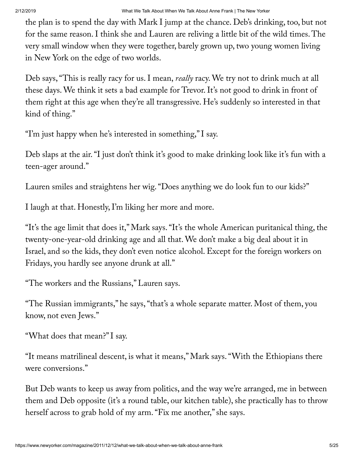the plan is to spend the day with Mark I jump at the chance. Deb's drinking, too, but not for the same reason.I think she and Lauren are reliving a little bit of the wild times.The very small window when they were together, barely grown up, two young women living in New York on the edge of two worlds.

Deb says, "This is really racy for us. I mean, *really* racy. We try not to drink much at all these days.We think it sets a bad example for Trevor.It's not good to drink in front of them right at this age when they're all transgressive. He's suddenly so interested in that kind of thing."

"I'm just happy when he's interested in something,"I say.

Deb slaps at the air."I just don't think it's good to make drinking look like it's fun with a teen-ager around."

Lauren smiles and straightens her wig."Does anything we do look fun to our kids?"

I laugh at that. Honestly,I'm liking her more and more.

"It's the age limit that does it,"Mark says."It's the whole American puritanical thing, the twenty-one-year-old drinking age and all that.We don't make a big deal about it in Israel, and so the kids, they don't even notice alcohol. Except for the foreign workers on Fridays, you hardly see anyone drunk at all."

"The workers and the Russians,"Lauren says.

"The Russian immigrants," he says,"that's a whole separate matter. Most of them, you know, not even Jews."

```
"What does that mean?"I say.
```
"It means matrilineal descent, is what it means,"Mark says."With the Ethiopians there were conversions."

But Deb wants to keep us away from politics, and the way we're arranged, me in between them and Deb opposite (it's a round table, our kitchen table), she practically has to throw herself across to grab hold of my arm. "Fix me another," she says.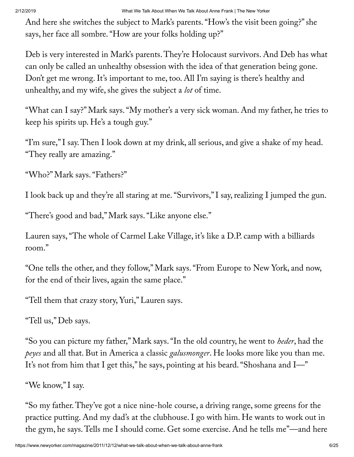#### 2/12/2019 What We Talk About When We Talk About Anne Frank | The New Yorker

And here she switches the subject to Mark's parents."How's the visit been going?"she says, her face all sombre."How are your folks holding up?"

Deb is very interested in Mark's parents.They're Holocaust survivors. And Deb has what can only be called an unhealthy obsession with the idea of that generation being gone. Don't get me wrong.It's important to me, too. All I'm saying is there's healthy and unhealthy, and my wife, she gives the subject a *lot* of time.

"What can I say?"Mark says."My mother's a very sick woman. And my father, he tries to keep his spirits up. He's a tough guy."

"I'm sure,"I say.Then I look down at my drink, all serious, and give a shake of my head. "They really are amazing."

"Who?"Mark says."Fathers?"

I look back up and they're all staring at me."Survivors,"I say, realizing I jumped the gun.

"There's good and bad,"Mark says."Like anyone else."

Lauren says,"The whole of Carmel Lake Village, it's like a D.P. camp with a billiards room."

"One tells the other, and they follow,"Mark says."From Europe to New York, and now, for the end of their lives, again the same place."

"Tell them that crazy story, Yuri,"Lauren says.

"Tell us," Deb says.

"So you can picture my father," Mark says. "In the old country, he went to *heder*, had the peyes and all that. But in America a classic galusmonger. He looks more like you than me. It's not from him that I get this," he says, pointing at his beard."Shoshana and I—"

"We know,"I say.

"So my father.They've got a nice nine-hole course, a driving range, some greens for the practice putting. And my dad's at the clubhouse.I go with him. He wants to work out in the gym, he says.Tells me I should come. Get some exercise. And he tells me"—and here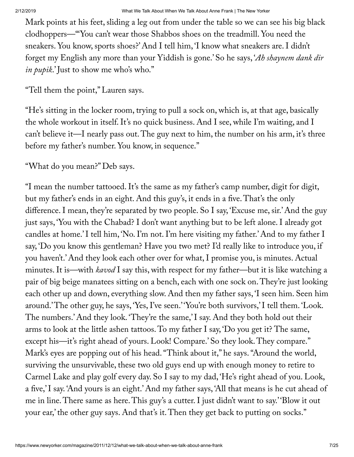Mark points at his feet, sliding a leg out from under the table so we can see his big black clodhoppers—"'You can't wear those Shabbos shoes on the treadmill. You need the sneakers. You know, sports shoes?' And I tell him, 'I know what sneakers are.I didn't forget my English any more than your Yiddish is gone.' So he says, 'Ah shaynem dank dir in pupik.'Just to show me who's who."

"Tell them the point,"Lauren says.

"He's sitting in the locker room, trying to pull a sock on, which is, at that age, basically the whole workout in itself.It's no quick business. And I see, while I'm waiting, and I can't believe it—I nearly pass out.The guy next to him, the number on his arm, it's three before my father's number. You know, in sequence."

"What do you mean?" Deb says.

"I mean the number tattooed.It's the same as my father's camp number, digit for digit, but my father's ends in an eight. And this guy's, it ends in a five. That's the only difference.I mean, they're separated by two people. So I say, 'Excuse me, sir.' And the guy just says, 'You with the Chabad? I don't want anything but to be left alone.I already got candles at home.'I tell him, 'No.I'm not.I'm here visiting my father.' And to my father I say, 'Do you know this gentleman? Have you two met? I'd really like to introduce you, if you haven't.' And they look each other over for what,I promise you, is minutes. Actual minutes. It is—with *kavod* I say this, with respect for my father—but it is like watching a pair of big beige manatees sitting on a bench, each with one sock on.They're just looking each other up and down, everything slow. And then my father says, 'I seen him. Seen him around.'The other guy, he says, 'Yes,I've seen.' 'You're both survivors,'I tell them. 'Look. The numbers.' And they look. 'They're the same,'I say. And they both hold out their arms to look at the little ashen tattoos.To my father I say, 'Do you get it? The same, except his—it's right ahead of yours. Look! Compare.' So they look.They compare." Mark's eyes are popping out of his head."Think about it," he says."Around the world, surviving the unsurvivable, these two old guys end up with enough money to retire to Carmel Lake and play golf every day. So I say to my dad, 'He's right ahead of you. Look, a five,'I say. 'And yours is an eight.' And my father says, 'All that means is he cut ahead of me in line.There same as here.This guy's a cutter.I just didn't want to say.' 'Blow it out your ear,' the other guy says. And that's it. Then they get back to putting on socks."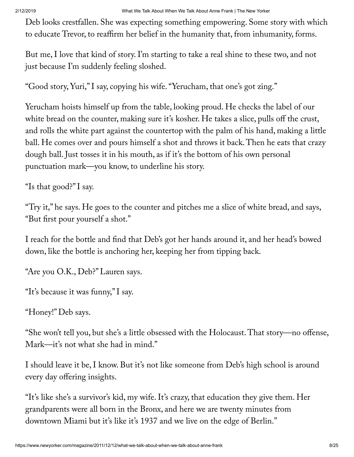Deb looks crestfallen. She was expecting something empowering. Some story with which to educate Trevor, to reaffirm her belief in the humanity that, from inhumanity, forms.

But me,I love that kind of story.I'm starting to take a real shine to these two, and not just because I'm suddenly feeling sloshed.

"Good story, Yuri,"I say, copying his wife."Yerucham, that one's got zing."

Yerucham hoists himself up from the table, looking proud. He checks the label of our white bread on the counter, making sure it's kosher. He takes a slice, pulls off the crust, and rolls the white part against the countertop with the palm of his hand, making a little ball. He comes over and pours himself a shot and throws it back.Then he eats that crazy dough ball. Just tosses it in his mouth, as if it's the bottom of his own personal punctuation mark—you know, to underline his story.

"Is that good?"I say.

"Try it," he says. He goes to the counter and pitches me a slice of white bread, and says, "But first pour yourself a shot."

I reach for the bottle and find that Deb's got her hands around it, and her head's bowed down, like the bottle is anchoring her, keeping her from tipping back.

"Are you O.K., Deb?"Lauren says.

"It's because it was funny,"I say.

"Honey!" Deb says.

"She won't tell you, but she's a little obsessed with the Holocaust.That story—no offense, Mark—it's not what she had in mind."

I should leave it be,I know. But it's not like someone from Deb's high school is around every day offering insights.

"It's like she's a survivor's kid, my wife.It's crazy, that education they give them. Her grandparents were all born in the Bronx, and here we are twenty minutes from downtown Miami but it's like it's 1937 and we live on the edge of Berlin."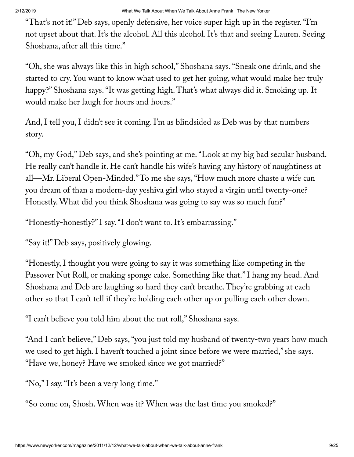"That's not it!" Deb says, openly defensive, her voice super high up in the register."I'm not upset about that.It's the alcohol. All this alcohol.It's that and seeing Lauren. Seeing Shoshana, after all this time."

"Oh, she was always like this in high school," Shoshana says."Sneak one drink, and she started to cry. You want to know what used to get her going, what would make her truly happy?" Shoshana says."It was getting high.That's what always did it. Smoking up. It would make her laugh for hours and hours."

And, I tell you, I didn't see it coming. I'm as blindsided as Deb was by that numbers story.

"Oh, my God," Deb says, and she's pointing at me."Look at my big bad secular husband. He really can't handle it. He can't handle his wife's having any history of naughtiness at all—Mr. Liberal Open-Minded."To me she says,"How much more chaste a wife can you dream of than a modern-day yeshiva girl who stayed a virgin until twenty-one? Honestly.What did you think Shoshana was going to say was so much fun?"

"Honestly-honestly?" I say. "I don't want to. It's embarrassing."

"Say it!" Deb says, positively glowing.

"Honestly,I thought you were going to say it was something like competing in the Passover Nut Roll, or making sponge cake. Something like that."I hang my head. And Shoshana and Deb are laughing so hard they can't breathe.They're grabbing at each other so that I can't tell if they're holding each other up or pulling each other down.

"I can't believe you told him about the nut roll," Shoshana says.

"And I can't believe," Deb says,"you just told my husband of twenty-two years how much we used to get high.I haven't touched a joint since before we were married,"she says. "Have we, honey? Have we smoked since we got married?"

"No,"I say."It's been a very long time."

"So come on, Shosh.When was it? When was the last time you smoked?"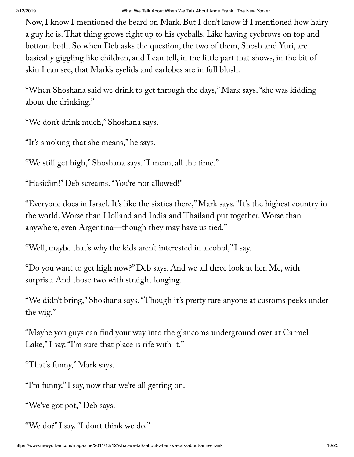Now,I know I mentioned the beard on Mark. But I don't know if I mentioned how hairy a guy he is.That thing grows right up to his eyeballs. Like having eyebrows on top and bottom both. So when Deb asks the question, the two of them, Shosh and Yuri, are basically giggling like children, and I can tell, in the little part that shows, in the bit of skin I can see, that Mark's eyelids and earlobes are in full blush.

"When Shoshana said we drink to get through the days,"Mark says,"she was kidding about the drinking."

"We don't drink much," Shoshana says.

"It's smoking that she means," he says.

"We still get high," Shoshana says."I mean, all the time."

"Hasidim!" Deb screams."You're not allowed!"

"Everyone does in Israel.It's like the sixties there,"Mark says."It's the highest country in the world.Worse than Holland and India and Thailand put together.Worse than anywhere, even Argentina—though they may have us tied."

"Well, maybe that's why the kids aren't interested in alcohol,"I say.

"Do you want to get high now?" Deb says. And we all three look at her. Me, with surprise. And those two with straight longing.

"We didn't bring," Shoshana says."Though it's pretty rare anyone at customs peeks under the wig."

"Maybe you guys can find your way into the glaucoma underground over at Carmel Lake," I say. "I'm sure that place is rife with it."

"That's funny,"Mark says.

"I'm funny,"I say, now that we're all getting on.

"We've got pot," Deb says.

"We do?"I say."I don't think we do."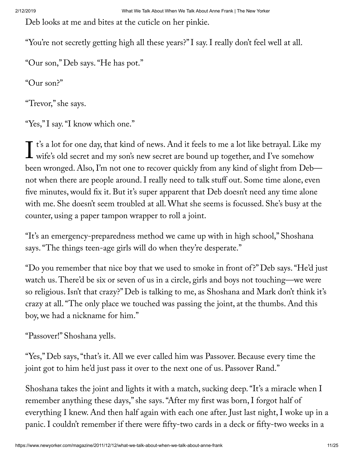Deb looks at me and bites at the cuticle on her pinkie.

"You're not secretly getting high all these years?"I say.I really don't feel well at all.

"Our son," Deb says."He has pot."

"Our son?"

"Trevor,"she says.

"Yes,"I say."I know which one."

I t's a lot for one day, that kind of news. And it feels to me a lot like betrayal. Like m<br>wife's old secret and my son's new secret are bound up together, and I've somehow T t's a lot for one day, that kind of news. And it feels to me a lot like betrayal. Like my been wronged. Also, I'm not one to recover quickly from any kind of slight from Deb not when there are people around.I really need to talk stuff out. Some time alone, even five minutes, would fix it. But it's super apparent that Deb doesn't need any time alone with me. She doesn't seem troubled at all.What she seems is focussed. She's busy at the counter, using a paper tampon wrapper to roll a joint.

"It's an emergency-preparedness method we came up with in high school," Shoshana says."The things teen-age girls will do when they're desperate."

"Do you remember that nice boy that we used to smoke in front of?" Deb says."He'd just watch us.There'd be six or seven of us in a circle, girls and boys not touching—we were so religious.Isn't that crazy?" Deb is talking to me, as Shoshana and Mark don't think it's crazy at all."The only place we touched was passing the joint, at the thumbs. And this boy, we had a nickname for him."

"Passover!" Shoshana yells.

"Yes," Deb says, "that's it. All we ever called him was Passover. Because every time the joint got to him he'd just pass it over to the next one of us. Passover Rand."

Shoshana takes the joint and lights it with a match, sucking deep."It's a miracle when I remember anything these days," she says. "After my first was born, I forgot half of everything I knew. And then half again with each one after. Just last night,I woke up in a panic. I couldn't remember if there were fifty-two cards in a deck or fifty-two weeks in a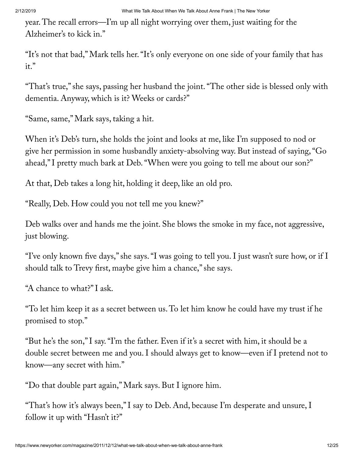year.The recall errors—I'm up all night worrying over them, just waiting for the Alzheimer's to kick in."

"It's not that bad,"Mark tells her."It's only everyone on one side of your family that has it."

"That's true,"she says, passing her husband the joint."The other side is blessed only with dementia. Anyway, which is it? Weeks or cards?"

"Same, same,"Mark says, taking a hit.

When it's Deb's turn, she holds the joint and looks at me, like I'm supposed to nod or give her permission in some husbandly anxiety-absolving way. But instead of saying,"Go ahead,"I pretty much bark at Deb."When were you going to tell me about our son?"

At that, Deb takes a long hit, holding it deep, like an old pro.

"Really, Deb. How could you not tell me you knew?"

Deb walks over and hands me the joint. She blows the smoke in my face, not aggressive, just blowing.

"I've only known five days," she says. "I was going to tell you. I just wasn't sure how, or if I should talk to Trevy first, maybe give him a chance," she says.

"A chance to what?"I ask.

"To let him keep it as a secret between us.To let him know he could have my trust if he promised to stop."

"But he's the son,"I say."I'm the father. Even if it's a secret with him, it should be a double secret between me and you.I should always get to know—even if I pretend not to know—any secret with him."

"Do that double part again,"Mark says. But I ignore him.

"That's how it's always been,"I say to Deb. And, because I'm desperate and unsure,I follow it up with "Hasn't it?"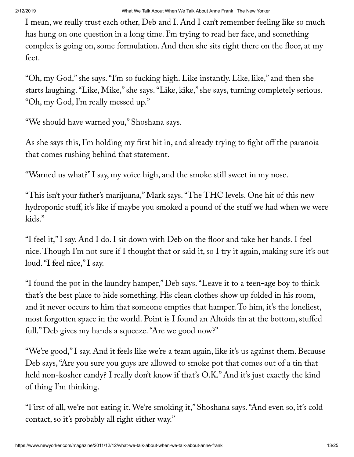I mean, we really trust each other, Deb and I. And I can't remember feeling like so much has hung on one question in a long time.I'm trying to read her face, and something complex is going on, some formulation. And then she sits right there on the floor, at my feet.

"Oh, my God,"she says."I'm so fucking high. Like instantly. Like, like," and then she starts laughing."Like, Mike,"she says."Like, kike,"she says, turning completely serious. "Oh, my God,I'm really messed up."

"We should have warned you," Shoshana says.

As she says this, I'm holding my first hit in, and already trying to fight off the paranoia that comes rushing behind that statement.

"Warned us what?"I say, my voice high, and the smoke still sweet in my nose.

"This isn't your father's marijuana,"Mark says."The THC levels. One hit of this new hydroponic stuff, it's like if maybe you smoked a pound of the stuff we had when we were kids."

"I feel it," I say. And I do. I sit down with Deb on the floor and take her hands. I feel nice.Though I'm not sure if I thought that or said it, so I try it again, making sure it's out loud."I feel nice,"I say.

"I found the pot in the laundry hamper," Deb says."Leave it to a teen-age boy to think that's the best place to hide something. His clean clothes show up folded in his room, and it never occurs to him that someone empties that hamper.To him, it's the loneliest, most forgotten space in the world. Point is I found an Altoids tin at the bottom, stuffed full." Deb gives my hands a squeeze. "Are we good now?"

"We're good,"I say. And it feels like we're a team again, like it's us against them. Because Deb says,"Are you sure you guys are allowed to smoke pot that comes out of a tin that held non-kosher candy? I really don't know if that's O.K." And it's just exactly the kind of thing I'm thinking.

"First of all, we're not eating it.We're smoking it," Shoshana says."And even so, it's cold contact, so it's probably all right either way."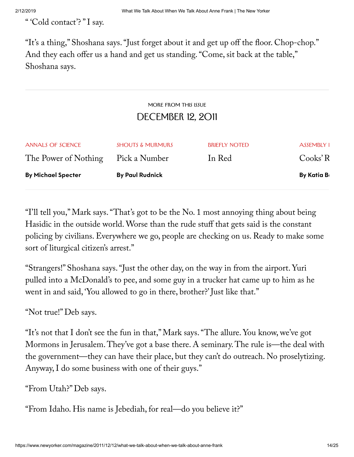" 'Cold contact'? "I say.

"It's a thing," Shoshana says. "Just forget about it and get up off the floor. Chop-chop." And they each offer us a hand and get us standing."Come, sit back at the table," Shoshana says.

## MORE FROM THIS ISSUE [December](https://www.newyorker.com/magazine/2011/12/12) 12, 2011

| ANNALS OF SCIENCE         | <b>SHOUTS &amp; MURMURS</b> | <b>BRIEFLY NOTED</b> | ASSEMBLY I         |
|---------------------------|-----------------------------|----------------------|--------------------|
| The Power of Nothing      | Pick a Number               | In Red               | $\mathrm{Cooks}$ R |
| <b>By Michael Specter</b> | <b>By Paul Rudnick</b>      |                      | <b>By Katia B</b>  |

"I'll tell you,"Mark says."That's got to be the No. 1 most annoying thing about being Hasidic in the outside world.Worse than the rude stuff that gets said is the constant policing by civilians. Everywhere we go, people are checking on us. Ready to make some sort of liturgical citizen's arrest."

"Strangers!" Shoshana says."Just the other day, on the way in from the airport. Yuri pulled into a McDonald's to pee, and some guy in a trucker hat came up to him as he went in and said, 'You allowed to go in there, brother?'Just like that."

"Not true!" Deb says.

"It's not that I don't see the fun in that,"Mark says."The allure. You know, we've got Mormons in Jerusalem.They've got a base there. A seminary.The rule is—the deal with the government—they can have their place, but they can't do outreach. No proselytizing. Anyway,I do some business with one of their guys."

"From Utah?" Deb says.

"From Idaho. His name is Jebediah, for real—do you believe it?"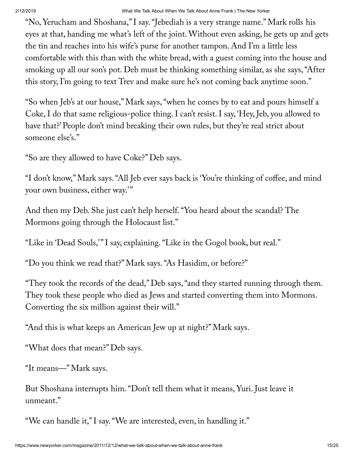#### 2/12/2019 What We Talk About When We Talk About Anne Frank | The New Yorker

"No, Yerucham and Shoshana,"I say."Jebediah is a very strange name."Mark rolls his eyes at that, handing me what's left of the joint.Without even asking, he gets up and gets the tin and reaches into his wife's purse for another tampon. And I'm a little less comfortable with this than with the white bread, with a guest coming into the house and smoking up all our son's pot. Deb must be thinking something similar, as she says,"After this story,I'm going to text Trev and make sure he's not coming back anytime soon."

"So when Jeb's at our house,"Mark says,"when he comes by to eat and pours himself a Coke,I do that same religious-police thing.I can't resist.I say, 'Hey, Jeb, you allowed to have that?' People don't mind breaking their own rules, but they're real strict about someone else's."

"So are they allowed to have Coke?" Deb says.

"I don't know,"Mark says."All Jeb ever says back is 'You're thinking of coffee, and mind your own business, either way.'"

And then my Deb. She just can't help herself."You heard about the scandal? The Mormons going through the Holocaust list."

"Like in 'Dead Souls,'"I say, explaining."Like in the Gogol book, but real."

"Do you think we read that?"Mark says."As Hasidim, or before?"

"They took the records of the dead," Deb says,"and they started running through them. They took these people who died as Jews and started converting them into Mormons. Converting the six million against their will."

"And this is what keeps an American Jew up at night?" Mark says.

"What does that mean?" Deb says.

"It means—"Mark says.

But Shoshana interrupts him."Don't tell them what it means, Yuri. Just leave it unmeant."

"We can handle it,"I say."We are interested, even, in handling it."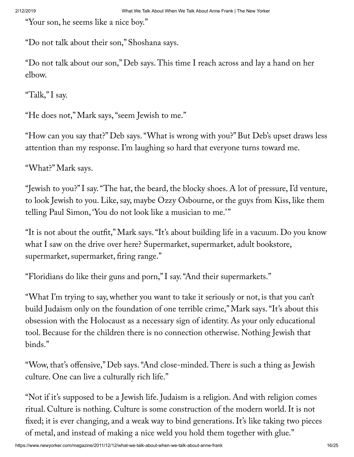"Your son, he seems like a nice boy."

"Do not talk about their son," Shoshana says.

"Do not talk about our son," Deb says.This time I reach across and lay a hand on her elbow.

"Talk,"I say.

"He does not,"Mark says,"seem Jewish to me."

"How can you say that?" Deb says."What is wrong with you?"But Deb's upset draws less attention than my response.I'm laughing so hard that everyone turns toward me.

"What?"Mark says.

"Jewish to you?"I say."The hat, the beard, the blocky shoes. A lot of pressure,I'd venture, to look Jewish to you. Like, say, maybe Ozzy Osbourne, or the guys from Kiss, like them telling Paul Simon, 'You do not look like a musician to me.'"

"It is not about the outfit," Mark says. "It's about building life in a vacuum. Do you know what I saw on the drive over here? Supermarket, supermarket, adult bookstore, supermarket, supermarket, firing range."

"Floridians do like their guns and porn,"I say."And their supermarkets."

"What I'm trying to say, whether you want to take it seriously or not, is that you can't build Judaism only on the foundation of one terrible crime,"Mark says."It's about this obsession with the Holocaust as a necessary sign of identity. As your only educational tool. Because for the children there is no connection otherwise. Nothing Jewish that binds."

"Wow, that's offensive," Deb says."And close-minded.There is such a thing as Jewish culture. One can live a culturally rich life."

"Not if it's supposed to be a Jewish life. Judaism is a religion. And with religion comes ritual. Culture is nothing. Culture is some construction of the modern world.It is not fixed; it is ever changing, and a weak way to bind generations. It's like taking two pieces of metal, and instead of making a nice weld you hold them together with glue."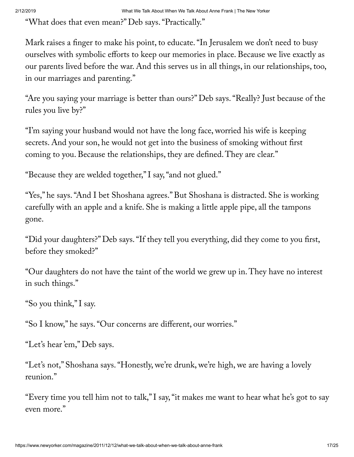"What does that even mean?" Deb says."Practically."

Mark raises a finger to make his point, to educate. "In Jerusalem we don't need to busy ourselves with symbolic efforts to keep our memories in place. Because we live exactly as our parents lived before the war. And this serves us in all things, in our relationships, too, in our marriages and parenting."

"Are you saying your marriage is better than ours?" Deb says."Really? Just because of the rules you live by?"

"I'm saying your husband would not have the long face, worried his wife is keeping secrets. And your son, he would not get into the business of smoking without first coming to you. Because the relationships, they are defined. They are clear."

"Because they are welded together,"I say,"and not glued."

"Yes," he says."And I bet Shoshana agrees."But Shoshana is distracted. She is working carefully with an apple and a knife. She is making a little apple pipe, all the tampons gone.

"Did your daughters?" Deb says. "If they tell you everything, did they come to you first, before they smoked?"

"Our daughters do not have the taint of the world we grew up in.They have no interest in such things."

"So you think,"I say.

"So I know," he says."Our concerns are different, our worries."

"Let's hear 'em," Deb says.

"Let's not," Shoshana says."Honestly, we're drunk, we're high, we are having a lovely reunion."

"Every time you tell him not to talk,"I say,"it makes me want to hear what he's got to say even more."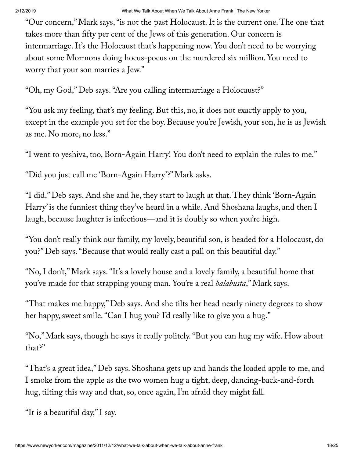"Our concern,"Mark says,"is not the past Holocaust.It is the current one.The one that takes more than fifty per cent of the Jews of this generation. Our concern is intermarriage.It's the Holocaust that's happening now. You don't need to be worrying about some Mormons doing hocus-pocus on the murdered six million. You need to worry that your son marries a Jew."

"Oh, my God," Deb says."Are you calling intermarriage a Holocaust?"

"You ask my feeling, that's my feeling. But this, no, it does not exactly apply to you, except in the example you set for the boy. Because you're Jewish, your son, he is as Jewish as me. No more, no less."

"I went to yeshiva, too, Born-Again Harry! You don't need to explain the rules to me."

"Did you just call me 'Born-Again Harry'?"Mark asks.

"I did," Deb says. And she and he, they start to laugh at that.They think 'Born-Again Harry' is the funniest thing they've heard in a while. And Shoshana laughs, and then I laugh, because laughter is infectious—and it is doubly so when you're high.

"You don't really think our family, my lovely, beautiful son, is headed for a Holocaust, do you?" Deb says."Because that would really cast a pall on this beautiful day."

"No,I don't,"Mark says."It's a lovely house and a lovely family, a beautiful home that you've made for that strapping young man. You're a real *balabusta*," Mark says.

"That makes me happy," Deb says. And she tilts her head nearly ninety degrees to show her happy, sweet smile."Can I hug you? I'd really like to give you a hug."

"No,"Mark says, though he says it really politely."But you can hug my wife. How about that?"

"That's a great idea," Deb says. Shoshana gets up and hands the loaded apple to me, and I smoke from the apple as the two women hug a tight, deep, dancing-back-and-forth hug, tilting this way and that, so, once again,I'm afraid they might fall.

"It is a beautiful day,"I say.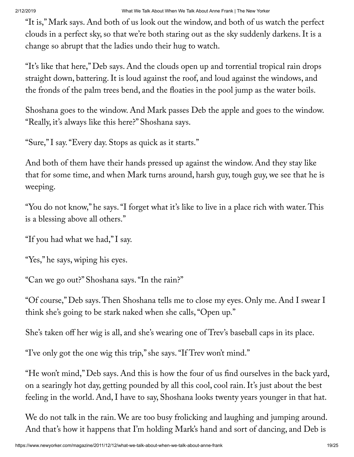"It is,"Mark says. And both of us look out the window, and both of us watch the perfect clouds in a perfect sky, so that we're both staring out as the sky suddenly darkens.It is a change so abrupt that the ladies undo their hug to watch.

"It's like that here," Deb says. And the clouds open up and torrential tropical rain drops straight down, battering.It is loud against the roof, and loud against the windows, and the fronds of the palm trees bend, and the floaties in the pool jump as the water boils.

Shoshana goes to the window. And Mark passes Deb the apple and goes to the window. "Really, it's always like this here?" Shoshana says.

"Sure,"I say."Every day. Stops as quick as it starts."

And both of them have their hands pressed up against the window. And they stay like that for some time, and when Mark turns around, harsh guy, tough guy, we see that he is weeping.

"You do not know," he says."I forget what it's like to live in a place rich with water.This is a blessing above all others."

"If you had what we had,"I say.

"Yes," he says, wiping his eyes.

"Can we go out?" Shoshana says."In the rain?"

"Of course," Deb says.Then Shoshana tells me to close my eyes. Only me. And I swear I think she's going to be stark naked when she calls,"Open up."

She's taken off her wig is all, and she's wearing one of Trev's baseball caps in its place.

"I've only got the one wig this trip,"she says."If Trev won't mind."

"He won't mind," Deb says. And this is how the four of us find ourselves in the back yard, on a searingly hot day, getting pounded by all this cool, cool rain.It's just about the best feeling in the world. And,I have to say, Shoshana looks twenty years younger in that hat.

We do not talk in the rain.We are too busy frolicking and laughing and jumping around. And that's how it happens that I'm holding Mark's hand and sort of dancing, and Deb is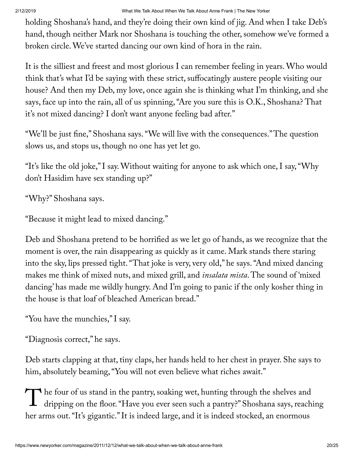holding Shoshana's hand, and they're doing their own kind of jig. And when I take Deb's hand, though neither Mark nor Shoshana is touching the other, somehow we've formed a broken circle.We've started dancing our own kind of hora in the rain.

It is the silliest and freest and most glorious I can remember feeling in years.Who would think that's what I'd be saying with these strict, suffocatingly austere people visiting our house? And then my Deb, my love, once again she is thinking what I'm thinking, and she says, face up into the rain, all of us spinning,"Are you sure this is O.K., Shoshana? That it's not mixed dancing? I don't want anyone feeling bad after."

"We'll be just fine," Shoshana says. "We will live with the consequences." The question slows us, and stops us, though no one has yet let go.

"It's like the old joke,"I say.Without waiting for anyone to ask which one,I say,"Why don't Hasidim have sex standing up?"

"Why?" Shoshana says.

"Because it might lead to mixed dancing."

Deb and Shoshana pretend to be horrified as we let go of hands, as we recognize that the moment is over, the rain disappearing as quickly as it came. Mark stands there staring into the sky, lips pressed tight."That joke is very, very old," he says."And mixed dancing makes me think of mixed nuts, and mixed grill, and insalata mista.The sound of 'mixed dancing' has made me wildly hungry. And I'm going to panic if the only kosher thing in the house is that loaf of bleached American bread."

"You have the munchies,"I say.

"Diagnosis correct," he says.

Deb starts clapping at that, tiny claps, her hands held to her chest in prayer. She says to him, absolutely beaming, "You will not even believe what riches await."

The four of us stand in the pantry, soaking wet, hunting through the shelves and dripping on the floor. "Have you ever seen such a pantry?" Shoshana says, reach **d** dripping on the floor. "Have you ever seen such a pantry?" Shoshana says, reaching her arms out."It's gigantic."It is indeed large, and it is indeed stocked, an enormous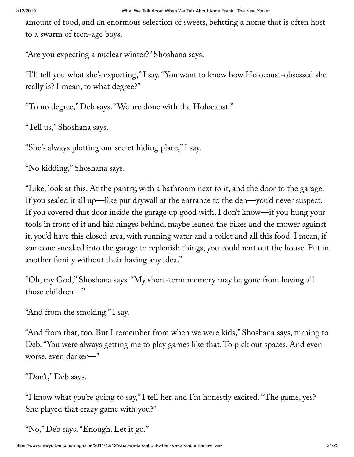amount of food, and an enormous selection of sweets, befitting a home that is often host to a swarm of teen-age boys.

"Are you expecting a nuclear winter?" Shoshana says.

"I'll tell you what she's expecting,"I say."You want to know how Holocaust-obsessed she really is? I mean, to what degree?"

"To no degree," Deb says."We are done with the Holocaust."

"Tell us," Shoshana says.

"She's always plotting our secret hiding place,"I say.

"No kidding," Shoshana says.

"Like, look at this. At the pantry, with a bathroom next to it, and the door to the garage. If you sealed it all up—like put drywall at the entrance to the den—you'd never suspect. If you covered that door inside the garage up good with,I don't know—if you hung your tools in front of it and hid hinges behind, maybe leaned the bikes and the mower against it, you'd have this closed area, with running water and a toilet and all this food.I mean, if someone sneaked into the garage to replenish things, you could rent out the house. Put in another family without their having any idea."

"Oh, my God," Shoshana says."My short-term memory may be gone from having all those children—"

"And from the smoking,"I say.

"And from that, too. But I remember from when we were kids," Shoshana says, turning to Deb. "You were always getting me to play games like that. To pick out spaces. And even worse, even darker—"

"Don't," Deb says.

"I know what you're going to say,"I tell her, and I'm honestly excited."The game, yes? She played that crazy game with you?"

"No," Deb says."Enough. Let it go."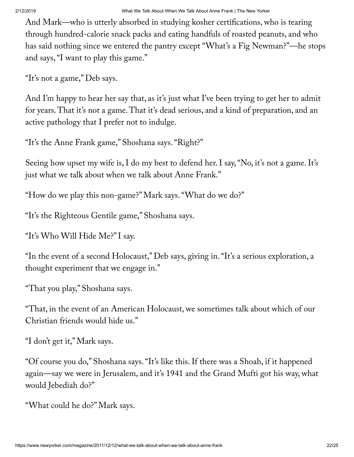And Mark—who is utterly absorbed in studying kosher certifications, who is tearing through hundred-calorie snack packs and eating handfuls of roasted peanuts, and who has said nothing since we entered the pantry except "What's a Fig Newman?"—he stops and says,"I want to play this game."

"It's not a game," Deb says.

And I'm happy to hear her say that, as it's just what I've been trying to get her to admit for years.That it's not a game.That it's dead serious, and a kind of preparation, and an active pathology that I prefer not to indulge.

"It's the Anne Frank game," Shoshana says."Right?"

Seeing how upset my wife is, I do my best to defend her. I say, "No, it's not a game. It's just what we talk about when we talk about Anne Frank."

"How do we play this non-game?"Mark says."What do we do?"

"It's the Righteous Gentile game," Shoshana says.

"It's Who Will Hide Me?"I say.

"In the event of a second Holocaust," Deb says, giving in."It's a serious exploration, a thought experiment that we engage in."

"That you play," Shoshana says.

"That, in the event of an American Holocaust, we sometimes talk about which of our Christian friends would hide us."

"I don't get it,"Mark says.

"Of course you do," Shoshana says."It's like this.If there was a Shoah, if it happened again—say we were in Jerusalem, and it's 1941 and the Grand Mufti got his way, what would Jebediah do?"

"What could he do?"Mark says.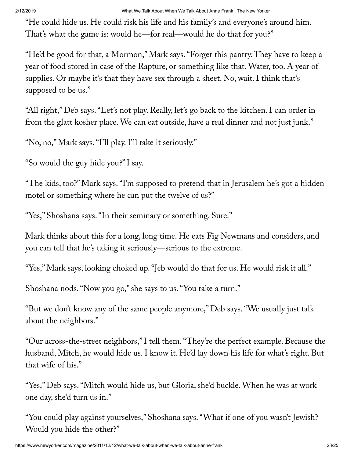#### 2/12/2019 What We Talk About When We Talk About Anne Frank | The New Yorker

"He could hide us. He could risk his life and his family's and everyone's around him. That's what the game is: would he—for real—would he do that for you?"

"He'd be good for that, a Mormon,"Mark says."Forget this pantry.They have to keep a year of food stored in case of the Rapture, or something like that.Water, too. A year of supplies. Or maybe it's that they have sex through a sheet. No, wait.I think that's supposed to be us."

"All right," Deb says."Let's not play. Really, let's go back to the kitchen.I can order in from the glatt kosher place.We can eat outside, have a real dinner and not just junk."

"No, no,"Mark says."I'll play.I'll take it seriously."

"So would the guy hide you?"I say.

"The kids, too?"Mark says."I'm supposed to pretend that in Jerusalem he's got a hidden motel or something where he can put the twelve of us?"

"Yes," Shoshana says."In their seminary or something. Sure."

Mark thinks about this for a long, long time. He eats Fig Newmans and considers, and you can tell that he's taking it seriously—serious to the extreme.

"Yes,"Mark says, looking choked up."Jeb would do that for us. He would risk it all."

Shoshana nods."Now you go,"she says to us."You take a turn."

"But we don't know any of the same people anymore," Deb says."We usually just talk about the neighbors."

"Our across-the-street neighbors,"I tell them."They're the perfect example. Because the husband, Mitch, he would hide us.I know it. He'd lay down his life for what's right. But that wife of his."

"Yes," Deb says."Mitch would hide us, but Gloria, she'd buckle.When he was at work one day, she'd turn us in."

"You could play against yourselves," Shoshana says."What if one of you wasn't Jewish? Would you hide the other?"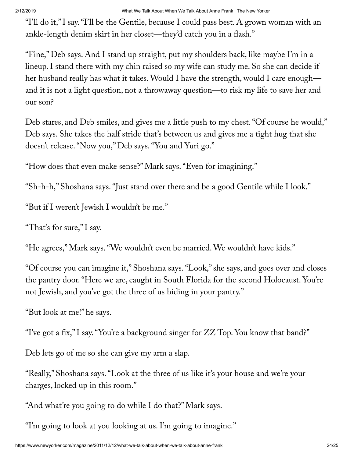"I'll do it,"I say."I'll be the Gentile, because I could pass best. A grown woman with an ankle-length denim skirt in her closet—they'd catch you in a flash."

"Fine," Deb says. And I stand up straight, put my shoulders back, like maybe I'm in a lineup.I stand there with my chin raised so my wife can study me. So she can decide if her husband really has what it takes.Would I have the strength, would I care enough and it is not a light question, not a throwaway question—to risk my life to save her and our son?

Deb stares, and Deb smiles, and gives me a little push to my chest."Of course he would," Deb says. She takes the half stride that's between us and gives me a tight hug that she doesn't release."Now you," Deb says."You and Yuri go."

"How does that even make sense?"Mark says."Even for imagining."

"Sh-h-h," Shoshana says."Just stand over there and be a good Gentile while I look."

"But if I weren't Jewish I wouldn't be me."

"That's for sure,"I say.

"He agrees,"Mark says."We wouldn't even be married.We wouldn't have kids."

"Of course you can imagine it," Shoshana says."Look,"she says, and goes over and closes the pantry door."Here we are, caught in South Florida for the second Holocaust. You're not Jewish, and you've got the three of us hiding in your pantry."

"But look at me!" he says.

"I've got a fix," I say. "You're a background singer for  $ZZ$  Top. You know that band?"

Deb lets go of me so she can give my arm a slap.

"Really," Shoshana says."Look at the three of us like it's your house and we're your charges, locked up in this room."

"And what're you going to do while I do that?" Mark says.

"I'm going to look at you looking at us.I'm going to imagine."